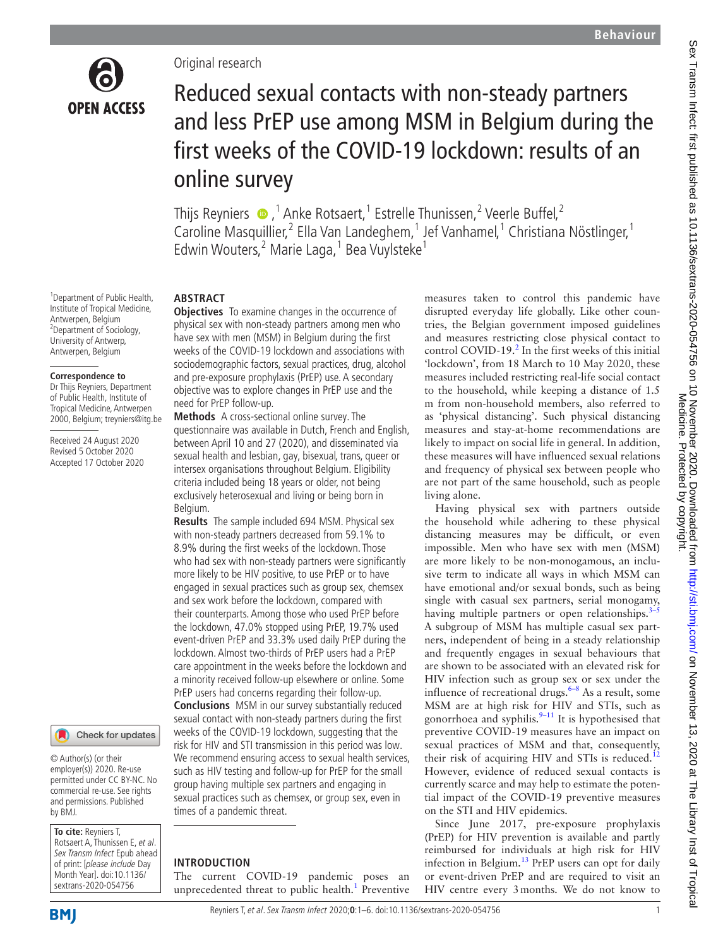

# Original research

# Reduced sexual contacts with non-steady partners and less PrEP use among MSM in Belgium during the first weeks of the COVID-19 lockdown: results of an online survey

Thijs Reyniers  $\bigcirc$  ,<sup>1</sup> Anke Rotsaert,<sup>1</sup> Estrelle Thunissen,<sup>2</sup> Veerle Buffel,<sup>2</sup> Caroline Masquillier,<sup>2</sup> Ella Van Landeghem,<sup>1</sup> Jef Vanhamel,<sup>1</sup> Christiana Nöstlinger,<sup>1</sup> Edwin Wouters,<sup>2</sup> Marie Laga,<sup>1</sup> Bea Vuylsteke<sup>1</sup>

1 Department of Public Health, Institute of Tropical Medicine, Antwerpen, Belgium <sup>2</sup>Department of Sociology, University of Antwerp, Antwerpen, Belgium

#### **Correspondence to**

Dr Thijs Reyniers, Department of Public Health, Institute of Tropical Medicine, Antwerpen 2000, Belgium; treyniers@itg.be

Received 24 August 2020 Revised 5 October 2020 Accepted 17 October 2020

#### Check for updates

© Author(s) (or their employer(s)) 2020. Re-use permitted under CC BY-NC. No commercial re-use. See rights and permissions. Published by BMJ.

**To cite:** Reyniers T, Rotsaert A, Thunissen E, et al. Sex Transm Infect Epub ahead of print: [please include Day Month Year]. doi:10.1136/ sextrans-2020-054756

#### **ABSTRACT**

**Objectives** To examine changes in the occurrence of physical sex with non-steady partners among men who have sex with men (MSM) in Belgium during the first weeks of the COVID-19 lockdown and associations with sociodemographic factors, sexual practices, drug, alcohol and pre-exposure prophylaxis (PrEP) use. A secondary objective was to explore changes in PrEP use and the need for PrEP follow-up.

**Methods** A cross-sectional online survey. The questionnaire was available in Dutch, French and English, between April 10 and 27 (2020), and disseminated via sexual health and lesbian, gay, bisexual, trans, queer or intersex organisations throughout Belgium. Eligibility criteria included being 18 years or older, not being exclusively heterosexual and living or being born in Belgium.

**Results** The sample included 694 MSM. Physical sex with non-steady partners decreased from 59.1% to 8.9% during the first weeks of the lockdown. Those who had sex with non-steady partners were significantly more likely to be HIV positive, to use PrEP or to have engaged in sexual practices such as group sex, chemsex and sex work before the lockdown, compared with their counterparts. Among those who used PrEP before the lockdown, 47.0% stopped using PrEP, 19.7% used event-driven PrEP and 33.3% used daily PrEP during the lockdown. Almost two-thirds of PrEP users had a PrEP care appointment in the weeks before the lockdown and a minority received follow-up elsewhere or online. Some PrEP users had concerns regarding their follow-up.

**Conclusions** MSM in our survey substantially reduced sexual contact with non-steady partners during the first weeks of the COVID-19 lockdown, suggesting that the risk for HIV and STI transmission in this period was low. We recommend ensuring access to sexual health services, such as HIV testing and follow-up for PrEP for the small group having multiple sex partners and engaging in sexual practices such as chemsex, or group sex, even in times of a pandemic threat.

#### **INTRODUCTION**

The current COVID-19 pandemic poses an unprecedented threat to public health.<sup>[1](#page-4-0)</sup> Preventive measures taken to control this pandemic have disrupted everyday life globally. Like other countries, the Belgian government imposed guidelines and measures restricting close physical contact to control COVID-19. $^2$  $^2$  In the first weeks of this initial 'lockdown', from 18 March to 10 May 2020, these measures included restricting real-life social contact to the household, while keeping a distance of 1.5 m from non-household members, also referred to as 'physical distancing'. Such physical distancing measures and stay-at-home recommendations are likely to impact on social life in general. In addition, these measures will have influenced sexual relations and frequency of physical sex between people who are not part of the same household, such as people living alone.

Having physical sex with partners outside the household while adhering to these physical distancing measures may be difficult, or even impossible. Men who have sex with men (MSM) are more likely to be non-monogamous, an inclusive term to indicate all ways in which MSM can have emotional and/or sexual bonds, such as being single with casual sex partners, serial monogamy, having multiple partners or open relationships. $3$ -A subgroup of MSM has multiple casual sex partners, independent of being in a steady relationship and frequently engages in sexual behaviours that are shown to be associated with an elevated risk for HIV infection such as group sex or sex under the influence of recreational drugs. $6-8$  As a result, some MSM are at high risk for HIV and STIs, such as gonorrhoea and syphilis. $9-11$  It is hypothesised that preventive COVID-19 measures have an impact on sexual practices of MSM and that, consequently, their risk of acquiring HIV and STIs is reduced.<sup>[12](#page-4-5)</sup> However, evidence of reduced sexual contacts is currently scarce and may help to estimate the potential impact of the COVID-19 preventive measures on the STI and HIV epidemics.

Since June 2017, pre-exposure prophylaxis (PrEP) for HIV prevention is available and partly reimbursed for individuals at high risk for HIV infection in Belgium.<sup>[13](#page-5-0)</sup> PrEP users can opt for daily or event-driven PrEP and are required to visit an HIV centre every 3months. We do not know to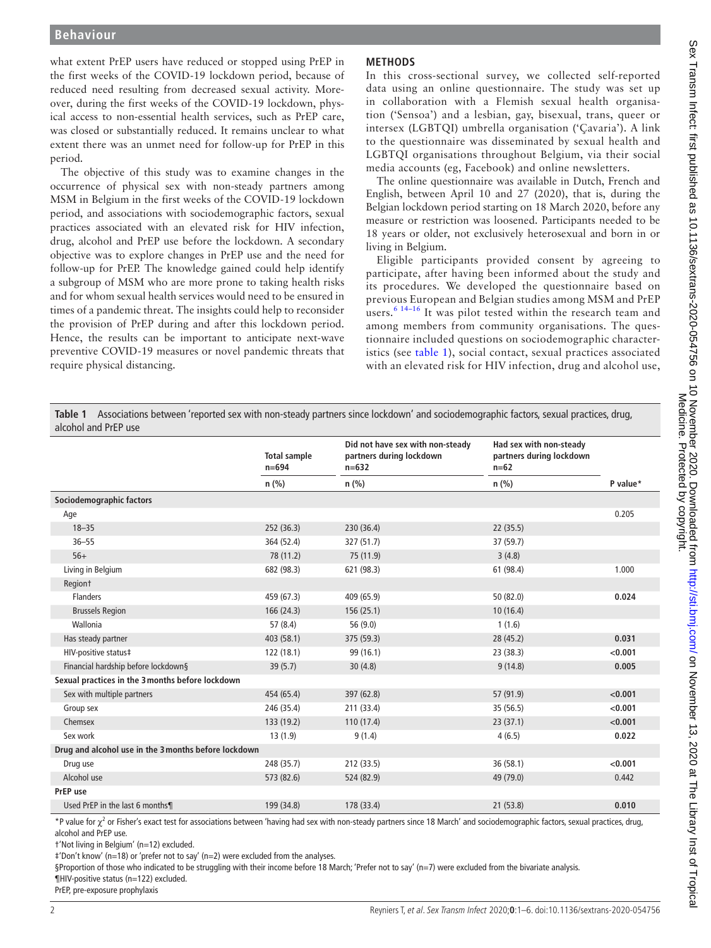what extent PrEP users have reduced or stopped using PrEP in the first weeks of the COVID-19 lockdown period, because of reduced need resulting from decreased sexual activity. Moreover, during the first weeks of the COVID-19 lockdown, physical access to non-essential health services, such as PrEP care, was closed or substantially reduced. It remains unclear to what extent there was an unmet need for follow-up for PrEP in this period.

The objective of this study was to examine changes in the occurrence of physical sex with non-steady partners among MSM in Belgium in the first weeks of the COVID-19 lockdown period, and associations with sociodemographic factors, sexual practices associated with an elevated risk for HIV infection, drug, alcohol and PrEP use before the lockdown. A secondary objective was to explore changes in PrEP use and the need for follow-up for PrEP. The knowledge gained could help identify a subgroup of MSM who are more prone to taking health risks and for whom sexual health services would need to be ensured in times of a pandemic threat. The insights could help to reconsider the provision of PrEP during and after this lockdown period. Hence, the results can be important to anticipate next-wave preventive COVID-19 measures or novel pandemic threats that require physical distancing.

# **METHODS**

In this cross-sectional survey, we collected self-reported data using an online questionnaire. The study was set up in collaboration with a Flemish sexual health organisation ('Sensoa') and a lesbian, gay, bisexual, trans, queer or intersex (LGBTQI) umbrella organisation ('Çavaria'). A link to the questionnaire was disseminated by sexual health and LGBTQI organisations throughout Belgium, via their social media accounts (eg, Facebook) and online newsletters.

The online questionnaire was available in Dutch, French and English, between April 10 and 27 (2020), that is, during the Belgian lockdown period starting on 18 March 2020, before any measure or restriction was loosened. Participants needed to be 18 years or older, not exclusively heterosexual and born in or living in Belgium.

Eligible participants provided consent by agreeing to participate, after having been informed about the study and its procedures. We developed the questionnaire based on previous European and Belgian studies among MSM and PrEP users. $6^{6}$  14–16 It was pilot tested within the research team and among members from community organisations. The questionnaire included questions on sociodemographic characteristics (see [table](#page-1-0) 1), social contact, sexual practices associated with an elevated risk for HIV infection, drug and alcohol use,

<span id="page-1-0"></span>**Table 1** Associations between 'reported sex with non-steady partners since lockdown' and sociodemographic factors, sexual practices, drug, alcohol and PrEP use

|                                                      | <b>Total sample</b><br>$n = 694$ | Did not have sex with non-steady<br>partners during lockdown<br>$n=632$ | Had sex with non-steady<br>partners during lockdown<br>$n=62$ |          |  |  |  |
|------------------------------------------------------|----------------------------------|-------------------------------------------------------------------------|---------------------------------------------------------------|----------|--|--|--|
|                                                      | $n$ (%)                          | $n$ (%)                                                                 | $n$ (%)                                                       | P value* |  |  |  |
| Sociodemographic factors                             |                                  |                                                                         |                                                               |          |  |  |  |
| Age                                                  |                                  |                                                                         |                                                               | 0.205    |  |  |  |
| $18 - 35$                                            | 252 (36.3)                       | 230 (36.4)                                                              | 22(35.5)                                                      |          |  |  |  |
| $36 - 55$                                            | 364 (52.4)                       | 327 (51.7)                                                              | 37 (59.7)                                                     |          |  |  |  |
| $56+$                                                | 78 (11.2)                        | 75 (11.9)                                                               | 3(4.8)                                                        |          |  |  |  |
| Living in Belgium                                    | 682 (98.3)                       | 621 (98.3)                                                              | 61 (98.4)                                                     | 1.000    |  |  |  |
| Region <sup>+</sup>                                  |                                  |                                                                         |                                                               |          |  |  |  |
| <b>Flanders</b>                                      | 459 (67.3)                       | 409 (65.9)                                                              | 50 (82.0)                                                     | 0.024    |  |  |  |
| <b>Brussels Region</b>                               | 166 (24.3)                       | 156(25.1)                                                               | 10(16.4)                                                      |          |  |  |  |
| Wallonia                                             | 57 (8.4)                         | 56 (9.0)                                                                | 1(1.6)                                                        |          |  |  |  |
| Has steady partner                                   | 403 (58.1)                       | 375 (59.3)                                                              | 28 (45.2)                                                     | 0.031    |  |  |  |
| HIV-positive status‡                                 | 122 (18.1)                       | 99 (16.1)                                                               | 23(38.3)                                                      | < 0.001  |  |  |  |
| Financial hardship before lockdown§                  | 39(5.7)                          | 30(4.8)                                                                 | 9(14.8)                                                       | 0.005    |  |  |  |
| Sexual practices in the 3 months before lockdown     |                                  |                                                                         |                                                               |          |  |  |  |
| Sex with multiple partners                           | 454 (65.4)                       | 397 (62.8)                                                              | 57 (91.9)                                                     | < 0.001  |  |  |  |
| Group sex                                            | 246 (35.4)                       | 211 (33.4)                                                              | 35 (56.5)                                                     | < 0.001  |  |  |  |
| Chemsex                                              | 133 (19.2)                       | 110 (17.4)                                                              | 23(37.1)                                                      | < 0.001  |  |  |  |
| Sex work                                             | 13(1.9)                          | 9(1.4)                                                                  | 4(6.5)                                                        | 0.022    |  |  |  |
| Drug and alcohol use in the 3 months before lockdown |                                  |                                                                         |                                                               |          |  |  |  |
| Drug use                                             | 248 (35.7)                       | 212 (33.5)                                                              | 36(58.1)                                                      | < 0.001  |  |  |  |
| Alcohol use                                          | 573 (82.6)                       | 524 (82.9)                                                              | 49 (79.0)                                                     | 0.442    |  |  |  |
| PrEP use                                             |                                  |                                                                         |                                                               |          |  |  |  |
| Used PrEP in the last 6 months¶                      | 199 (34.8)                       | 178 (33.4)                                                              | 21(53.8)                                                      | 0.010    |  |  |  |

\*P value for  $\chi^2$  or Fisher's exact test for associations between 'having had sex with non-steady partners since 18 March' and sociodemographic factors, sexual practices, drug, alcohol and PrEP use.

†'Not living in Belgium' (n=12) excluded.

‡'Don't know' (n=18) or 'prefer not to say' (n=2) were excluded from the analyses.

§Proportion of those who indicated to be struggling with their income before 18 March; 'Prefer not to say' (n=7) were excluded from the bivariate analysis.

¶HIV-positive status (n=122) excluded.

PrEP, pre-exposure prophylaxis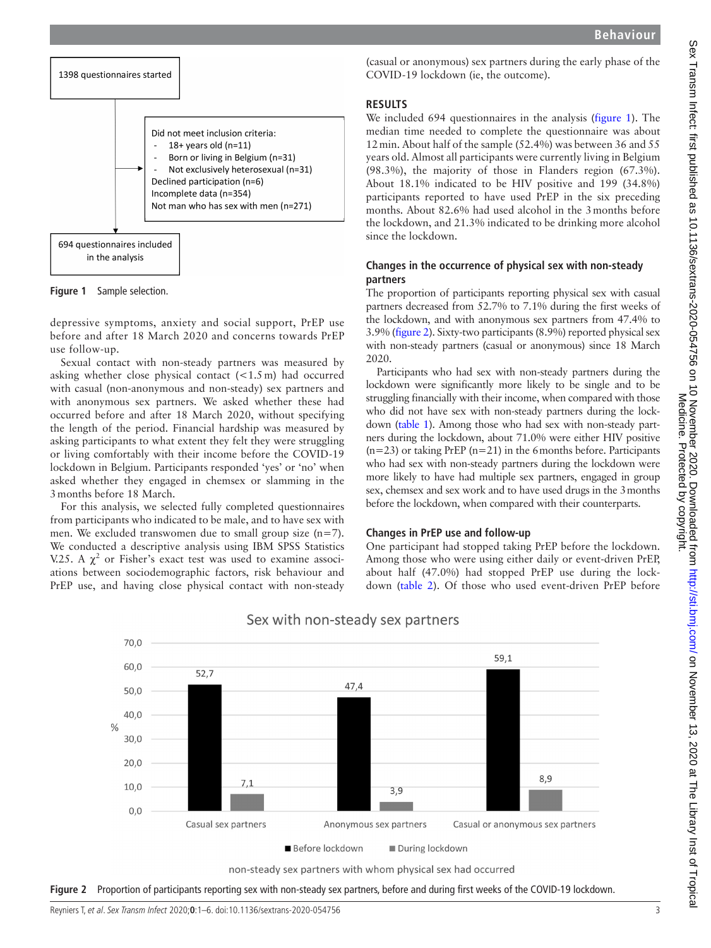

<span id="page-2-0"></span>**Figure 1** Sample selection.

depressive symptoms, anxiety and social support, PrEP use before and after 18 March 2020 and concerns towards PrEP use follow-up.

Sexual contact with non-steady partners was measured by asking whether close physical contact  $\left($  < 1.5 m) had occurred with casual (non-anonymous and non-steady) sex partners and with anonymous sex partners. We asked whether these had occurred before and after 18 March 2020, without specifying the length of the period. Financial hardship was measured by asking participants to what extent they felt they were struggling or living comfortably with their income before the COVID-19 lockdown in Belgium. Participants responded 'yes' or 'no' when asked whether they engaged in chemsex or slamming in the 3months before 18 March.

For this analysis, we selected fully completed questionnaires from participants who indicated to be male, and to have sex with men. We excluded transwomen due to small group size (n=7). We conducted a descriptive analysis using IBM SPSS Statistics V.25. A  $\chi^2$  or Fisher's exact test was used to examine associations between sociodemographic factors, risk behaviour and PrEP use, and having close physical contact with non-steady

(casual or anonymous) sex partners during the early phase of the COVID-19 lockdown (ie, the outcome).

#### **RESULTS**

We included 694 questionnaires in the analysis [\(figure](#page-2-0) 1). The median time needed to complete the questionnaire was about 12min. About half of the sample (52.4%) was between 36 and 55 years old. Almost all participants were currently living in Belgium (98.3%), the majority of those in Flanders region (67.3%). About 18.1% indicated to be HIV positive and 199 (34.8%) participants reported to have used PrEP in the six preceding months. About 82.6% had used alcohol in the 3months before the lockdown, and 21.3% indicated to be drinking more alcohol since the lockdown.

# **Changes in the occurrence of physical sex with non-steady partners**

The proportion of participants reporting physical sex with casual partners decreased from 52.7% to 7.1% during the first weeks of the lockdown, and with anonymous sex partners from 47.4% to 3.9% [\(figure](#page-2-1) 2). Sixty-two participants (8.9%) reported physical sex with non-steady partners (casual or anonymous) since 18 March 2020.

Participants who had sex with non-steady partners during the lockdown were significantly more likely to be single and to be struggling financially with their income, when compared with those who did not have sex with non-steady partners during the lockdown ([table](#page-1-0) 1). Among those who had sex with non-steady partners during the lockdown, about 71.0% were either HIV positive  $(n=23)$  or taking PrEP ( $n=21$ ) in the 6 months before. Participants who had sex with non-steady partners during the lockdown were more likely to have had multiple sex partners, engaged in group sex, chemsex and sex work and to have used drugs in the 3months before the lockdown, when compared with their counterparts.

#### **Changes in PrEP use and follow-up**

One participant had stopped taking PrEP before the lockdown. Among those who were using either daily or event-driven PrEP, about half (47.0%) had stopped PrEP use during the lockdown [\(table](#page-3-0) 2). Of those who used event-driven PrEP before



# Sex with non-steady sex partners

<span id="page-2-1"></span>

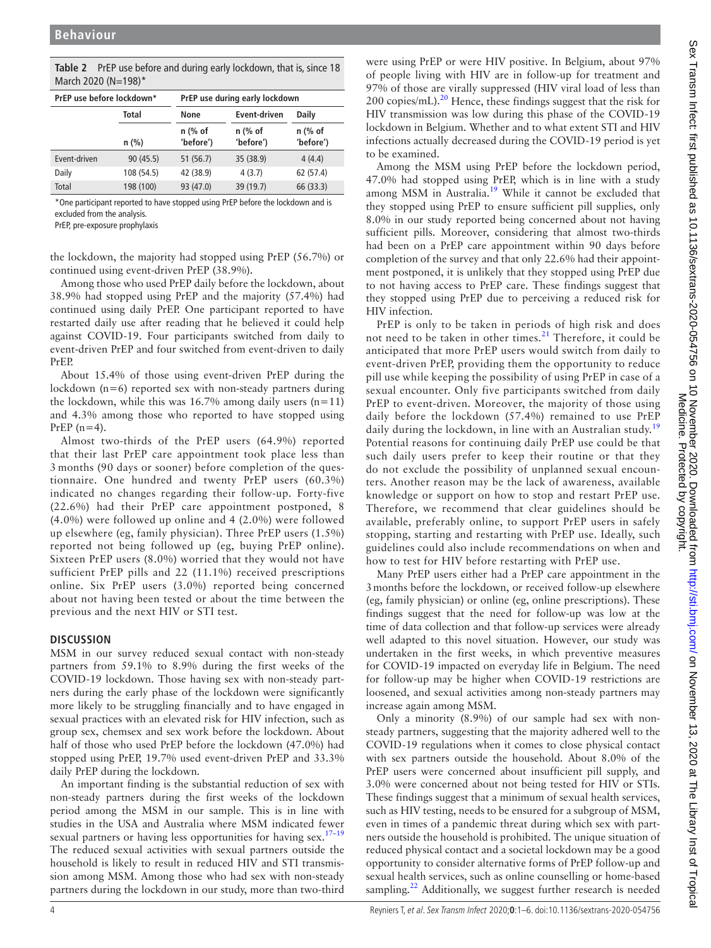| March 2020 (N=198)*       |               |                                |                      |                        |  |  |  |
|---------------------------|---------------|--------------------------------|----------------------|------------------------|--|--|--|
| PrEP use before lockdown* |               | PrEP use during early lockdown |                      |                        |  |  |  |
|                           | Total<br>None |                                | Event-driven         | <b>Daily</b>           |  |  |  |
|                           | $n$ (%)       | $n$ (% of<br>'before')         | n (% of<br>'before') | $n$ (% of<br>'before') |  |  |  |
| Event-driven              | 90(45.5)      | 51(56.7)                       | 35 (38.9)            | 4(4.4)                 |  |  |  |
| Daily                     | 108 (54.5)    | 42 (38.9)                      | 4(3.7)               | 62 (57.4)              |  |  |  |
| Total                     | 198 (100)     | 93 (47.0)                      | 39 (19.7)            | 66 (33.3)              |  |  |  |

<span id="page-3-0"></span>**Table 2** PrEP use before and during early lockdown, that is, since 18

\*One participant reported to have stopped using PrEP before the lockdown and is excluded from the analysis.

PrEP, pre-exposure prophylaxis

the lockdown, the majority had stopped using PrEP (56.7%) or continued using event-driven PrEP (38.9%).

Among those who used PrEP daily before the lockdown, about 38.9% had stopped using PrEP and the majority (57.4%) had continued using daily PrEP. One participant reported to have restarted daily use after reading that he believed it could help against COVID-19. Four participants switched from daily to event-driven PrEP and four switched from event-driven to daily PrEP.

About 15.4% of those using event-driven PrEP during the lockdown  $(n=6)$  reported sex with non-steady partners during the lockdown, while this was  $16.7\%$  among daily users (n=11) and 4.3% among those who reported to have stopped using PrEP  $(n=4)$ .

Almost two-thirds of the PrEP users (64.9%) reported that their last PrEP care appointment took place less than 3 months (90 days or sooner) before completion of the questionnaire. One hundred and twenty PrEP users (60.3%) indicated no changes regarding their follow-up. Forty-five (22.6%) had their PrEP care appointment postponed, 8 (4.0%) were followed up online and 4 (2.0%) were followed up elsewhere (eg, family physician). Three PrEP users (1.5%) reported not being followed up (eg, buying PrEP online). Sixteen PrEP users (8.0%) worried that they would not have sufficient PrEP pills and 22 (11.1%) received prescriptions online. Six PrEP users (3.0%) reported being concerned about not having been tested or about the time between the previous and the next HIV or STI test.

# **DISCUSSION**

MSM in our survey reduced sexual contact with non-steady partners from 59.1% to 8.9% during the first weeks of the COVID-19 lockdown. Those having sex with non-steady partners during the early phase of the lockdown were significantly more likely to be struggling financially and to have engaged in sexual practices with an elevated risk for HIV infection, such as group sex, chemsex and sex work before the lockdown. About half of those who used PrEP before the lockdown (47.0%) had stopped using PrEP, 19.7% used event-driven PrEP and 33.3% daily PrEP during the lockdown.

An important finding is the substantial reduction of sex with non-steady partners during the first weeks of the lockdown period among the MSM in our sample. This is in line with studies in the USA and Australia where MSM indicated fewer sexual partners or having less opportunities for having  $sex$ .<sup>17–19</sup> The reduced sexual activities with sexual partners outside the household is likely to result in reduced HIV and STI transmission among MSM. Among those who had sex with non-steady partners during the lockdown in our study, more than two-third

were using PrEP or were HIV positive. In Belgium, about 97% of people living with HIV are in follow-up for treatment and 97% of those are virally suppressed (HIV viral load of less than 200 copies/mL).[20](#page-5-2) Hence, these findings suggest that the risk for HIV transmission was low during this phase of the COVID-19 lockdown in Belgium. Whether and to what extent STI and HIV infections actually decreased during the COVID-19 period is yet to be examined.

Among the MSM using PrEP before the lockdown period, 47.0% had stopped using PrEP, which is in line with a study among MSM in Australia.<sup>19</sup> While it cannot be excluded that they stopped using PrEP to ensure sufficient pill supplies, only 8.0% in our study reported being concerned about not having sufficient pills. Moreover, considering that almost two-thirds had been on a PrEP care appointment within 90 days before completion of the survey and that only 22.6% had their appointment postponed, it is unlikely that they stopped using PrEP due to not having access to PrEP care. These findings suggest that they stopped using PrEP due to perceiving a reduced risk for HIV infection.

PrEP is only to be taken in periods of high risk and does not need to be taken in other times. $21$  Therefore, it could be anticipated that more PrEP users would switch from daily to event-driven PrEP, providing them the opportunity to reduce pill use while keeping the possibility of using PrEP in case of a sexual encounter. Only five participants switched from daily PrEP to event-driven. Moreover, the majority of those using daily before the lockdown (57.4%) remained to use PrEP daily during the lockdown, in line with an Australian study.<sup>[19](#page-5-3)</sup> Potential reasons for continuing daily PrEP use could be that such daily users prefer to keep their routine or that they do not exclude the possibility of unplanned sexual encounters. Another reason may be the lack of awareness, available knowledge or support on how to stop and restart PrEP use. Therefore, we recommend that clear guidelines should be available, preferably online, to support PrEP users in safely stopping, starting and restarting with PrEP use. Ideally, such guidelines could also include recommendations on when and how to test for HIV before restarting with PrEP use.

Many PrEP users either had a PrEP care appointment in the 3months before the lockdown, or received follow-up elsewhere (eg, family physician) or online (eg, online prescriptions). These findings suggest that the need for follow-up was low at the time of data collection and that follow-up services were already well adapted to this novel situation. However, our study was undertaken in the first weeks, in which preventive measures for COVID-19 impacted on everyday life in Belgium. The need for follow-up may be higher when COVID-19 restrictions are loosened, and sexual activities among non-steady partners may increase again among MSM.

Only a minority (8.9%) of our sample had sex with nonsteady partners, suggesting that the majority adhered well to the COVID-19 regulations when it comes to close physical contact with sex partners outside the household. About 8.0% of the PrEP users were concerned about insufficient pill supply, and 3.0% were concerned about not being tested for HIV or STIs. These findings suggest that a minimum of sexual health services, such as HIV testing, needs to be ensured for a subgroup of MSM, even in times of a pandemic threat during which sex with partners outside the household is prohibited. The unique situation of reduced physical contact and a societal lockdown may be a good opportunity to consider alternative forms of PrEP follow-up and sexual health services, such as online counselling or home-based sampling.<sup>[22](#page-5-5)</sup> Additionally, we suggest further research is needed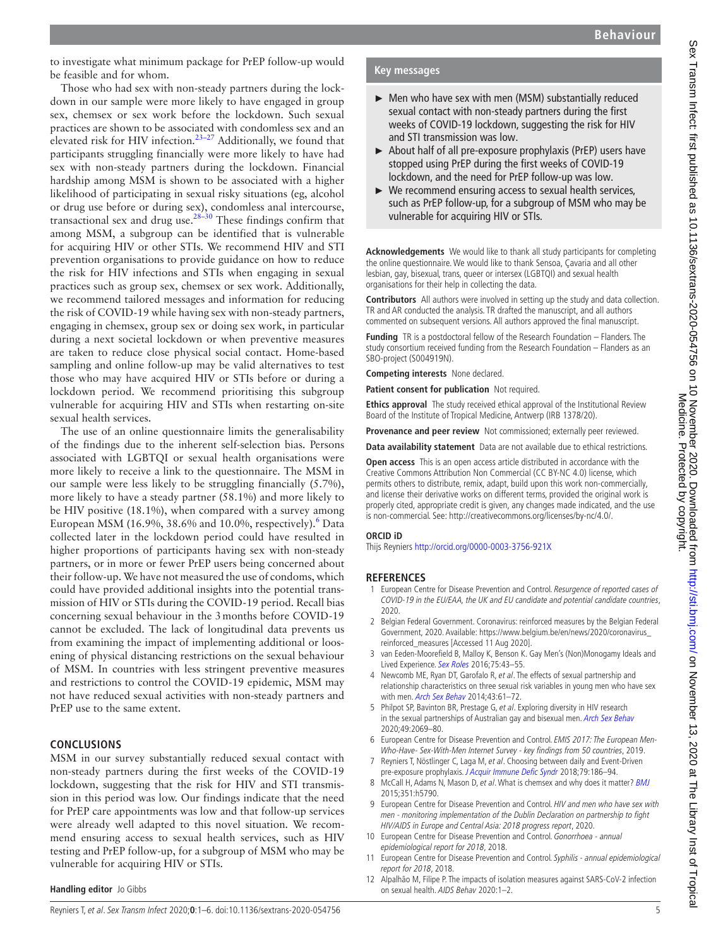to investigate what minimum package for PrEP follow-up would be feasible and for whom.

Those who had sex with non-steady partners during the lockdown in our sample were more likely to have engaged in group sex, chemsex or sex work before the lockdown. Such sexual practices are shown to be associated with condomless sex and an elevated risk for HIV infection.<sup>23-27</sup> Additionally, we found that participants struggling financially were more likely to have had sex with non-steady partners during the lockdown. Financial hardship among MSM is shown to be associated with a higher likelihood of participating in sexual risky situations (eg, alcohol or drug use before or during sex), condomless anal intercourse, transactional sex and drug use.<sup>28-30</sup> These findings confirm that among MSM, a subgroup can be identified that is vulnerable for acquiring HIV or other STIs. We recommend HIV and STI prevention organisations to provide guidance on how to reduce the risk for HIV infections and STIs when engaging in sexual practices such as group sex, chemsex or sex work. Additionally, we recommend tailored messages and information for reducing the risk of COVID-19 while having sex with non-steady partners, engaging in chemsex, group sex or doing sex work, in particular during a next societal lockdown or when preventive measures are taken to reduce close physical social contact. Home-based sampling and online follow-up may be valid alternatives to test those who may have acquired HIV or STIs before or during a lockdown period. We recommend prioritising this subgroup vulnerable for acquiring HIV and STIs when restarting on-site sexual health services.

The use of an online questionnaire limits the generalisability of the findings due to the inherent self-selection bias. Persons associated with LGBTQI or sexual health organisations were more likely to receive a link to the questionnaire. The MSM in our sample were less likely to be struggling financially (5.7%), more likely to have a steady partner (58.1%) and more likely to be HIV positive (18.1%), when compared with a survey among European MSM (1[6](#page-4-3).9%, 38.6% and 10.0%, respectively). $^6$  Data collected later in the lockdown period could have resulted in higher proportions of participants having sex with non-steady partners, or in more or fewer PrEP users being concerned about their follow-up. We have not measured the use of condoms, which could have provided additional insights into the potential transmission of HIV or STIs during the COVID-19 period. Recall bias concerning sexual behaviour in the 3months before COVID-19 cannot be excluded. The lack of longitudinal data prevents us from examining the impact of implementing additional or loosening of physical distancing restrictions on the sexual behaviour of MSM. In countries with less stringent preventive measures and restrictions to control the COVID-19 epidemic, MSM may not have reduced sexual activities with non-steady partners and PrEP use to the same extent.

#### **CONCLUSIONS**

MSM in our survey substantially reduced sexual contact with non-steady partners during the first weeks of the COVID-19 lockdown, suggesting that the risk for HIV and STI transmission in this period was low. Our findings indicate that the need for PrEP care appointments was low and that follow-up services were already well adapted to this novel situation. We recommend ensuring access to sexual health services, such as HIV testing and PrEP follow-up, for a subgroup of MSM who may be vulnerable for acquiring HIV or STIs.

### **Key messages**

- ► Men who have sex with men (MSM) substantially reduced sexual contact with non-steady partners during the first weeks of COVID-19 lockdown, suggesting the risk for HIV and STI transmission was low.
- ► About half of all pre-exposure prophylaxis (PrEP) users have stopped using PrEP during the first weeks of COVID-19 lockdown, and the need for PrEP follow-up was low.
- $\triangleright$  We recommend ensuring access to sexual health services, such as PrEP follow-up, for a subgroup of MSM who may be vulnerable for acquiring HIV or STIs.

**Acknowledgements** We would like to thank all study participants for completing the online questionnaire. We would like to thank Sensoa, Çavaria and all other lesbian, gay, bisexual, trans, queer or intersex (LGBTQI) and sexual health organisations for their help in collecting the data.

**Contributors** All authors were involved in setting up the study and data collection. TR and AR conducted the analysis. TR drafted the manuscript, and all authors commented on subsequent versions. All authors approved the final manuscript.

**Funding** TR is a postdoctoral fellow of the Research Foundation – Flanders. The study consortium received funding from the Research Foundation – Flanders as an SBO-project (S004919N).

**Competing interests** None declared.

**Patient consent for publication** Not required.

**Ethics approval** The study received ethical approval of the Institutional Review Board of the Institute of Tropical Medicine, Antwerp (IRB 1378/20).

**Provenance and peer review** Not commissioned; externally peer reviewed.

**Data availability statement** Data are not available due to ethical restrictions.

**Open access** This is an open access article distributed in accordance with the Creative Commons Attribution Non Commercial (CC BY-NC 4.0) license, which permits others to distribute, remix, adapt, build upon this work non-commercially, and license their derivative works on different terms, provided the original work is properly cited, appropriate credit is given, any changes made indicated, and the use is non-commercial. See: [http://creativecommons.org/licenses/by-nc/4.0/.](http://creativecommons.org/licenses/by-nc/4.0/)

#### **ORCID iD**

Thijs Reyniers <http://orcid.org/0000-0003-3756-921X>

#### **REFERENCES**

- <span id="page-4-0"></span>1 European Centre for Disease Prevention and Control. Resurgence of reported cases of COVID-19 in the EU/EAA, the UK and EU candidate and potential candidate countries, 2020.
- <span id="page-4-1"></span>2 Belgian Federal Government. Coronavirus: reinforced measures by the Belgian Federal Government, 2020. Available: [https://www.belgium.be/en/news/2020/coronavirus\\_](https://www.belgium.be/en/news/2020/coronavirus_reinforced_measures) [reinforced\\_measures](https://www.belgium.be/en/news/2020/coronavirus_reinforced_measures) [Accessed 11 Aug 2020].
- <span id="page-4-2"></span>3 van Eeden-Moorefield B, Malloy K, Benson K. Gay Men's (Non)Monogamy Ideals and Lived Experience. [Sex Roles](http://dx.doi.org/10.1007/s11199-015-0566-x) 2016;75:43-55.
- 4 Newcomb ME, Ryan DT, Garofalo R, et al. The effects of sexual partnership and relationship characteristics on three sexual risk variables in young men who have sex with men. [Arch Sex Behav](http://dx.doi.org/10.1007/s10508-013-0207-9) 2014;43:61-72.
- 5 Philpot SP, Bavinton BR, Prestage G, et al. Exploring diversity in HIV research in the sexual partnerships of Australian gay and bisexual men. [Arch Sex Behav](http://dx.doi.org/10.1007/s10508-019-01540-w) 2020;49:2069–80.
- <span id="page-4-3"></span>6 European Centre for Disease Prevention and Control. EMIS 2017: The European Men-Who-Have- Sex-With-Men Internet Survey - key findings from 50 countries, 2019.
- 7 Reyniers T, Nöstlinger C, Laga M, et al. Choosing between daily and Event-Driven pre-exposure prophylaxis. [J Acquir Immune Defic Syndr](http://dx.doi.org/10.1097/QAI.0000000000001791) 2018;79:186-94.
- 8 McCall H, Adams N, Mason D, et al. What is chemsex and why does it matter? [BMJ](http://dx.doi.org/10.1136/bmj.h5790) 2015;351:h5790.
- <span id="page-4-4"></span>9 European Centre for Disease Prevention and Control. HIV and men who have sex with men - monitoring implementation of the Dublin Declaration on partnership to fight HIV/AIDS in Europe and Central Asia: 2018 progress report, 2020.
- 10 European Centre for Disease Prevention and Control. Gonorrhoea annual epidemiological report for 2018, 2018.
- 11 European Centre for Disease Prevention and Control. Syphilis annual epidemiological report for 2018, 2018.
- <span id="page-4-5"></span>12 Alpalhão M, Filipe P. The impacts of isolation measures against SARS-CoV-2 infection on sexual health. AIDS Behav 2020:1–2.